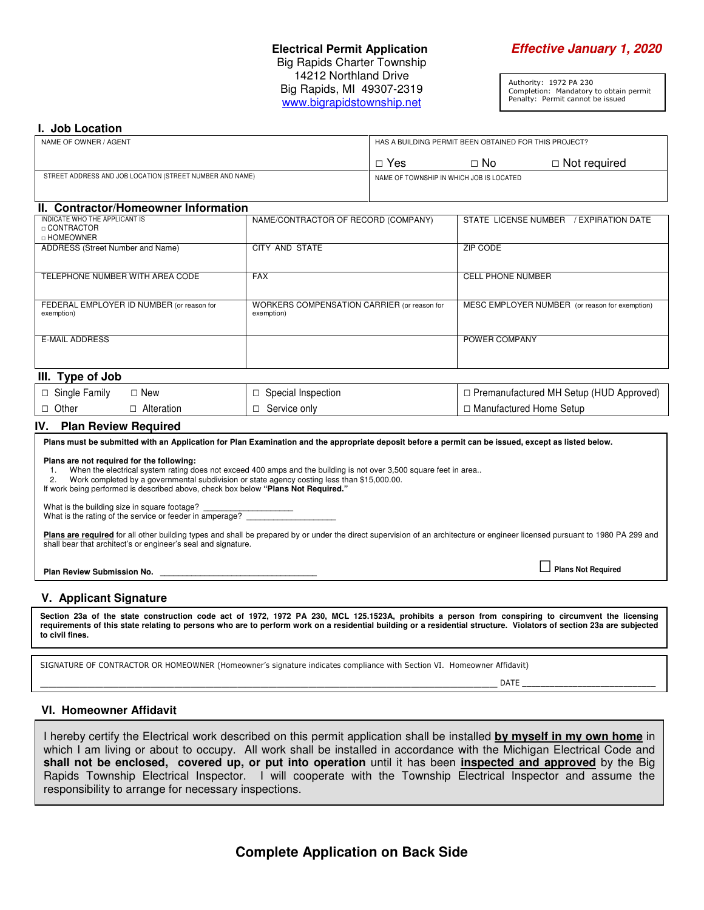#### **Electrical Permit Application Effective January 1, 2020** Big Rapids Charter Township 14212 Northland Drive Big Rapids, MI 49307-2319 www.bigrapidstownship.net

Authority: 1972 PA 230 Completion: Mandatory to obtain permit Penalty: Permit cannot be issued

#### **I. Job Location**

| NAME OF OWNER / AGENT                                        |                                                           | HAS A BUILDING PERMIT BEEN OBTAINED FOR THIS PROJECT? |                                                |                     |  |  |  |  |
|--------------------------------------------------------------|-----------------------------------------------------------|-------------------------------------------------------|------------------------------------------------|---------------------|--|--|--|--|
|                                                              |                                                           | $\Box$ Yes                                            | $\Box$ No                                      | $\Box$ Not required |  |  |  |  |
| STREET ADDRESS AND JOB LOCATION (STREET NUMBER AND NAME)     |                                                           | NAME OF TOWNSHIP IN WHICH JOB IS LOCATED              |                                                |                     |  |  |  |  |
|                                                              |                                                           |                                                       |                                                |                     |  |  |  |  |
| II. Contractor/Homeowner Information                         |                                                           |                                                       |                                                |                     |  |  |  |  |
| INDICATE WHO THE APPLICANT IS<br>□ CONTRACTOR<br>□ HOMEOWNER | NAME/CONTRACTOR OF RECORD (COMPANY)                       |                                                       | STATE LICENSE NUMBER<br>/ EXPIRATION DATE      |                     |  |  |  |  |
| ADDRESS (Street Number and Name)                             | <b>CITY AND STATE</b>                                     |                                                       | ZIP CODE                                       |                     |  |  |  |  |
| TELEPHONE NUMBER WITH AREA CODE                              | <b>FAX</b>                                                |                                                       | <b>CELL PHONE NUMBER</b>                       |                     |  |  |  |  |
| FEDERAL EMPLOYER ID NUMBER (or reason for<br>exemption)      | WORKERS COMPENSATION CARRIER (or reason for<br>exemption) |                                                       | MESC EMPLOYER NUMBER (or reason for exemption) |                     |  |  |  |  |
| <b>E-MAIL ADDRESS</b>                                        |                                                           |                                                       | POWER COMPANY                                  |                     |  |  |  |  |
| III. Type of Job                                             |                                                           |                                                       |                                                |                     |  |  |  |  |
| $\Box$ Single Family<br>$\Box$ New                           | $\Box$ Special Inspection                                 |                                                       | $\Box$ Premanufactured MH Setup (HUD Approved) |                     |  |  |  |  |

# □ Other □ Alteration **IV. Plan Review Required**

**Plans must be submitted with an Application for Plan Examination and the appropriate deposit before a permit can be issued, except as listed below. Plans are not required for the following:** 1. When the electrical system rating does not exceed 400 amps and the building is not over 3,500 square feet in area..<br>2. Work completed by a governmental subdivision or state agency costing less than \$15,000,00. 2. Work completed by a governmental subdivision or state agency costing less than \$15,000.00. If work being performed is described above, check box below **"Plans Not Required."**  What is the building size in square footage? What is the rating of the service or feeder in amperage? Plans are required for all other building types and shall be prepared by or under the direct supervision of an architecture or engineer licensed pursuant to 1980 PA 299 and shall bear that architect's or engineer's seal and signature. **Plan Review Submission No. \_\_\_\_\_\_\_\_\_\_\_\_\_\_\_\_\_\_\_\_\_\_\_\_\_\_\_\_\_\_\_\_\_\_\_** □ **Plans Not Required**

#### **V. Applicant Signature**

**Section 23a of the state construction code act of 1972, 1972 PA 230, MCL 125.1523A, prohibits a person from conspiring to circumvent the licensing requirements of this state relating to persons who are to perform work on a residential building or a residential structure. Violators of section 23a are subjected to civil fines.** 

SIGNATURE OF CONTRACTOR OR HOMEOWNER (Homeowner's signature indicates compliance with Section VI. Homeowner Affidavit)

□ Service only

\_\_\_\_\_\_\_\_\_\_\_\_\_\_\_\_\_\_\_\_\_\_\_\_\_\_\_\_\_\_\_\_\_\_\_\_\_\_\_\_\_\_\_\_\_\_\_\_\_\_\_\_\_\_\_\_\_\_ DATE \_\_\_\_\_\_\_\_\_\_\_\_\_\_\_\_\_\_\_\_\_\_\_\_\_\_\_\_\_

□ Manufactured Home Setup

#### **VI. Homeowner Affidavit**

I hereby certify the Electrical work described on this permit application shall be installed **by myself in my own home** in which I am living or about to occupy. All work shall be installed in accordance with the Michigan Electrical Code and **shall not be enclosed, covered up, or put into operation** until it has been **inspected and approved** by the Big Rapids Township Electrical Inspector. I will cooperate with the Township Electrical Inspector and assume the responsibility to arrange for necessary inspections.